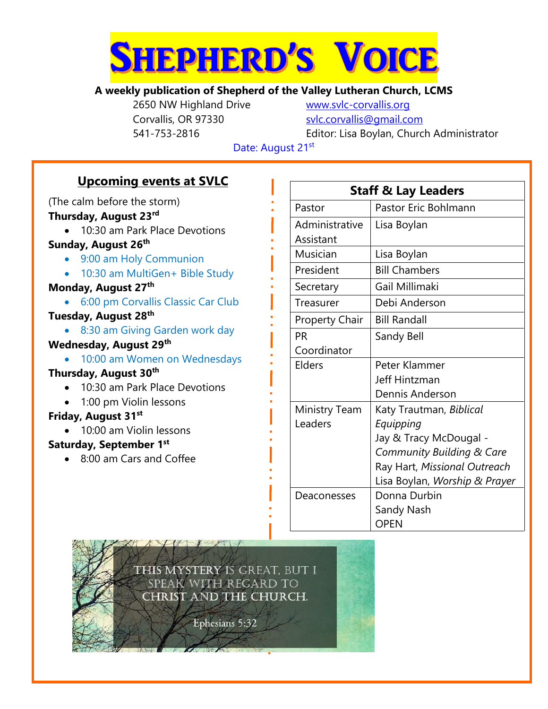

### **A weekly publication of Shepherd of the Valley Lutheran Church, LCMS**

2650 NW Highland Drive [www.svlc-corvallis.org](http://www.svlc-corvallis.org/) Corvallis, OR 97330 [svlc.corvallis@gmail.com](mailto:svlc.corvallis@gmail.com)

541-753-2816 Editor: Lisa Boylan, Church Administrator

Date: August 21st

# **Upcoming events at SVLC**

(The calm before the storm)

## **Thursday, August 23rd**

- 10:30 am Park Place Devotions **Sunday, August 26th**
	- 9:00 am Holy Communion
	- 10:30 am MultiGen+ Bible Study

#### **Monday, August 27th**

6:00 pm Corvallis Classic Car Club

#### **Tuesday, August 28th**

• 8:30 am Giving Garden work day

#### **Wednesday, August 29th**

• 10:00 am Women on Wednesdays

## **Thursday, August 30th**

- 10:30 am Park Place Devotions
- 1:00 pm Violin lessons

#### **Friday, August 31st**

• 10:00 am Violin lessons

#### **Saturday, September 1 st**

8:00 am Cars and Coffee

| <b>Staff &amp; Lay Leaders</b> |                               |  |  |  |
|--------------------------------|-------------------------------|--|--|--|
| Pastor                         | Pastor Eric Bohlmann          |  |  |  |
| Administrative                 | Lisa Boylan                   |  |  |  |
| Assistant                      |                               |  |  |  |
| Musician                       | Lisa Boylan                   |  |  |  |
| President                      | <b>Bill Chambers</b>          |  |  |  |
| Secretary                      | Gail Millimaki                |  |  |  |
| Treasurer                      | Debi Anderson                 |  |  |  |
| <b>Property Chair</b>          | <b>Bill Randall</b>           |  |  |  |
| PR                             | Sandy Bell                    |  |  |  |
| Coordinator                    |                               |  |  |  |
| Elders                         | Peter Klammer                 |  |  |  |
|                                | Jeff Hintzman                 |  |  |  |
|                                | Dennis Anderson               |  |  |  |
| <b>Ministry Team</b>           | Katy Trautman, Biblical       |  |  |  |
| Leaders                        | Equipping                     |  |  |  |
|                                | Jay & Tracy McDougal -        |  |  |  |
|                                | Community Building & Care     |  |  |  |
|                                | Ray Hart, Missional Outreach  |  |  |  |
|                                | Lisa Boylan, Worship & Prayer |  |  |  |
| Deaconesses                    | Donna Durbin                  |  |  |  |
|                                | Sandy Nash                    |  |  |  |
|                                | <b>OPEN</b>                   |  |  |  |

This mystery is great, but i SPEAK WITH REGARD TO CHRIST AND THE CHURCH.

Ephesians 5:32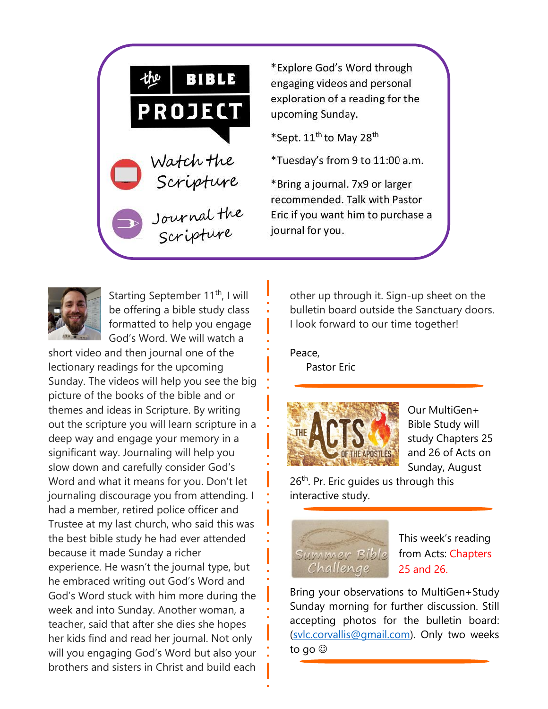

\*Explore God's Word through engaging videos and personal exploration of a reading for the upcoming Sunday.

\*Sept. 11<sup>th</sup> to May 28<sup>th</sup>

\*Tuesday's from 9 to 11:00 a.m.

\*Bring a journal. 7x9 or larger recommended. Talk with Pastor Eric if you want him to purchase a journal for you.



Starting September 11<sup>th</sup>, I will be offering a bible study class formatted to help you engage God's Word. We will watch a

short video and then journal one of the lectionary readings for the upcoming Sunday. The videos will help you see the big picture of the books of the bible and or themes and ideas in Scripture. By writing out the scripture you will learn scripture in a deep way and engage your memory in a significant way. Journaling will help you slow down and carefully consider God's Word and what it means for you. Don't let journaling discourage you from attending. I had a member, retired police officer and Trustee at my last church, who said this was the best bible study he had ever attended because it made Sunday a richer experience. He wasn't the journal type, but he embraced writing out God's Word and God's Word stuck with him more during the week and into Sunday. Another woman, a teacher, said that after she dies she hopes her kids find and read her journal. Not only will you engaging God's Word but also your brothers and sisters in Christ and build each

other up through it. Sign-up sheet on the bulletin board outside the Sanctuary doors. I look forward to our time together!

Peace,

Pastor Eric



Our MultiGen+ Bible Study will study Chapters 25 and 26 of Acts on Sunday, August

26<sup>th</sup>. Pr. Eric quides us through this interactive study.



This week's reading from Acts: Chapters 25 and 26.

Bring your observations to MultiGen+Study Sunday morning for further discussion. Still accepting photos for the bulletin board: [\(svlc.corvallis@gmail.com\)](mailto:svlc.corvallis@gmail.com). Only two weeks to go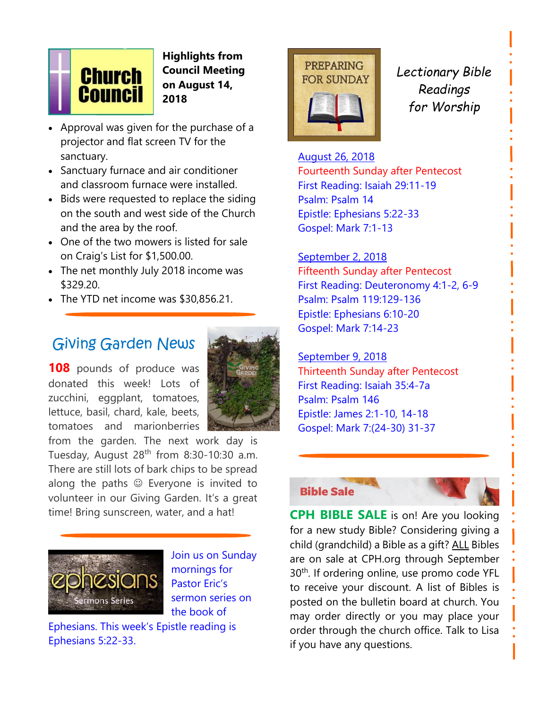

**Highlights from Council Meeting on August 14, 2018**

- Approval was given for the purchase of a projector and flat screen TV for the sanctuary.
- Sanctuary furnace and air conditioner and classroom furnace were installed.
- Bids were requested to replace the siding on the south and west side of the Church and the area by the roof.
- One of the two mowers is listed for sale on Craig's List for \$1,500.00.
- The net monthly July 2018 income was \$329.20.
- The YTD net income was \$30,856.21.

# Giving Garden News

**108** pounds of produce was donated this week! Lots of zucchini, eggplant, tomatoes, lettuce, basil, chard, kale, beets, tomatoes and marionberries



from the garden. The next work day is Tuesday, August 28<sup>th</sup> from 8:30-10:30 a.m. There are still lots of bark chips to be spread along the paths  $\odot$  Everyone is invited to volunteer in our Giving Garden. It's a great time! Bring sunscreen, water, and a hat!



Join us on Sunday mornings for Pastor Eric's sermon series on the book of

Ephesians. This week's Epistle reading is Ephesians 5:22-33.



*Lectionary Bible Readings for Worship*

August 26, 2018 Fourteenth Sunday after Pentecost First Reading: Isaiah 29:11-19 Psalm: Psalm 14 Epistle: Ephesians 5:22-33 Gospel: Mark 7:1-13

# September 2, 2018

Fifteenth Sunday after Pentecost First Reading: Deuteronomy 4:1-2, 6-9 Psalm: Psalm 119:129-136 Epistle: Ephesians 6:10-20 Gospel: Mark 7:14-23

#### September 9, 2018 Thirteenth Sunday after Pentecost First Reading: Isaiah 35:4-7a Psalm: Psalm 146 Epistle: James 2:1-10, 14-18 Gospel: Mark 7:(24-30) 31-37

#### **Bible Sale**



**CPH BIBLE SALE** is on! Are you looking for a new study Bible? Considering giving a child (grandchild) a Bible as a gift? ALL Bibles are on sale at CPH.org through September 30<sup>th</sup>. If ordering online, use promo code YFL to receive your discount. A list of Bibles is posted on the bulletin board at church. You may order directly or you may place your order through the church office. Talk to Lisa if you have any questions.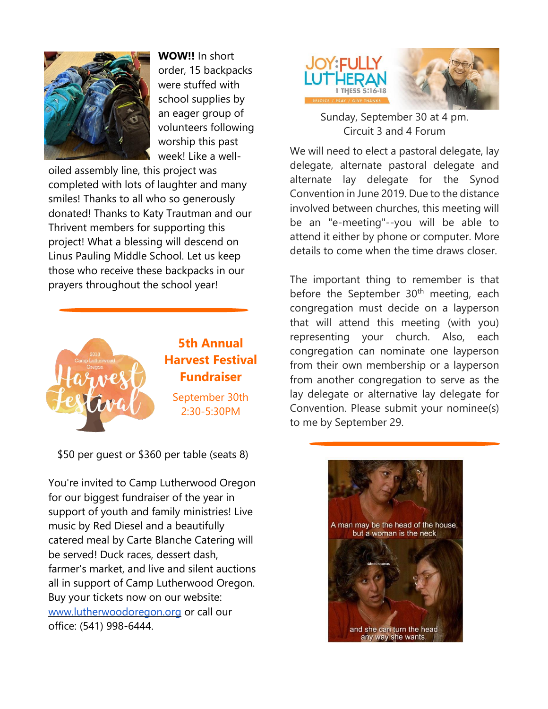

**WOW!!** In short order, 15 backpacks were stuffed with school supplies by an eager group of volunteers following worship this past week! Like a well-

oiled assembly line, this project was completed with lots of laughter and many smiles! Thanks to all who so generously donated! Thanks to Katy Trautman and our Thrivent members for supporting this project! What a blessing will descend on Linus Pauling Middle School. Let us keep those who receive these backpacks in our prayers throughout the school year!



\$50 per guest or \$360 per table (seats 8)

You're invited to Camp Lutherwood Oregon for our biggest fundraiser of the year in support of youth and family ministries! Live music by Red Diesel and a beautifully catered meal by Carte Blanche Catering will be served! Duck races, dessert dash, farmer's market, and live and silent auctions all in support of Camp Lutherwood Oregon. Buy your tickets now on our website: [www.lutherwoodoregon.org](http://www.lutherwoodoregon.org/) or call our office: (541) 998-6444.



Sunday, September 30 at 4 pm. Circuit 3 and 4 Forum

We will need to elect a pastoral delegate, lay delegate, alternate pastoral delegate and alternate lay delegate for the Synod Convention in June 2019. Due to the distance involved between churches, this meeting will be an "e-meeting"--you will be able to attend it either by phone or computer. More details to come when the time draws closer.

The important thing to remember is that before the September  $30<sup>th</sup>$  meeting, each congregation must decide on a layperson that will attend this meeting (with you) representing your church. Also, each congregation can nominate one layperson from their own membership or a layperson from another congregation to serve as the lay delegate or alternative lay delegate for Convention. Please submit your nominee(s) to me by September 29.

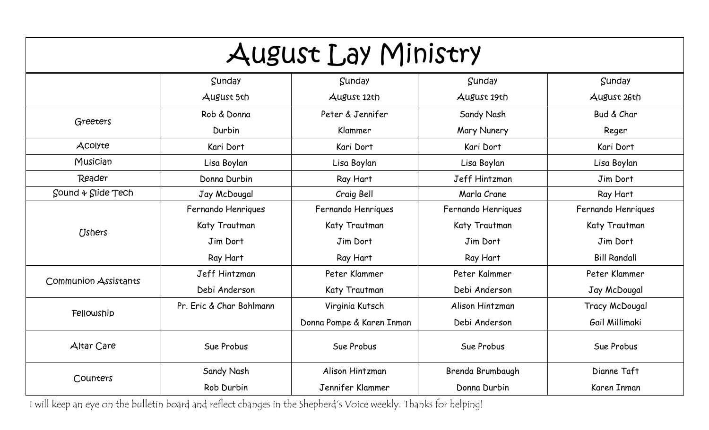| August Lay Ministry              |                          |                           |                    |                     |
|----------------------------------|--------------------------|---------------------------|--------------------|---------------------|
|                                  | Sunday                   | Sunday                    | Sunday             | Sunday              |
|                                  | August 5th               | August 12th               | August 19th        | August 26th         |
| Greeters                         | Rob & Donna              | Peter & Jennifer          | Sandy Nash         | Bud & Char          |
|                                  | Durbin                   | Klammer                   | Mary Nunery        | Reger               |
| <b>ACOIYte</b>                   | Kari Dort                | Kari Dort                 | Kari Dort          | Kari Dort           |
| Musician                         | Lisa Boylan              | Lisa Boylan               | Lisa Boylan        | Lisa Boylan         |
| Reader                           | Donna Durbin             | Ray Hart                  | Jeff Hintzman      | Jim Dort            |
| $Sound \triangleleft$ Slide Tech | Jay McDougal             | Craig Bell                | Marla Crane        | Ray Hart            |
|                                  | Fernando Henriques       | Fernando Henriques        | Fernando Henriques | Fernando Henriques  |
| <b>Ushers</b>                    | Katy Trautman            | Katy Trautman             | Katy Trautman      | Katy Trautman       |
|                                  | Jim Dort                 | Jim Dort                  | Jim Dort           | Jim Dort            |
|                                  | Ray Hart                 | Ray Hart                  | Ray Hart           | <b>Bill Randall</b> |
| <b>Communion Assistants</b>      | Jeff Hintzman            | Peter Klammer             | Peter Kalmmer      | Peter Klammer       |
|                                  | Debi Anderson            | Katy Trautman             | Debi Anderson      | Jay McDougal        |
| Fellowship                       | Pr. Eric & Char Bohlmann | Virginia Kutsch           | Alison Hintzman    | Tracy McDougal      |
|                                  |                          | Donna Pompe & Karen Inman | Debi Anderson      | Gail Millimaki      |
| Altar Care                       | Sue Probus<br>Sue Probus |                           | Sue Probus         | Sue Probus          |
|                                  | Sandy Nash               | Alison Hintzman           | Brenda Brumbaugh   | Dianne Taft         |
| Counters                         | Rob Durbin               | Jennifer Klammer          | Donna Durbin       | Karen Inman         |

I will keep an eye on the bulletin board and reflect changes in the Shepherd's Voice weekly. Thanks for helping!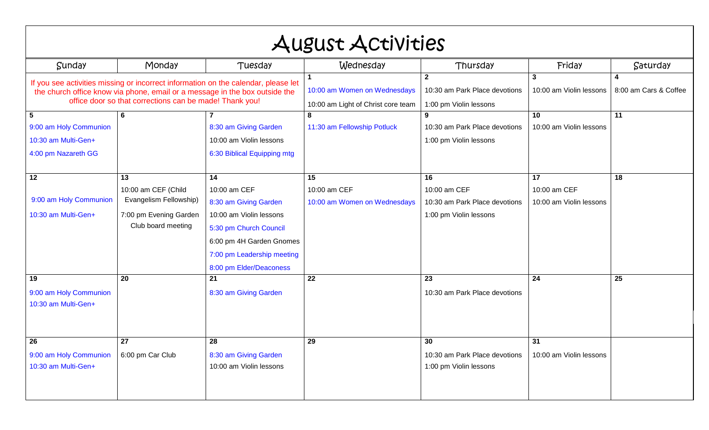| August Activities                                                                                                                                                                                                            |                                                                                                     |                                                                                                                                                                                       |                                                                           |                                                                               |                                               |          |
|------------------------------------------------------------------------------------------------------------------------------------------------------------------------------------------------------------------------------|-----------------------------------------------------------------------------------------------------|---------------------------------------------------------------------------------------------------------------------------------------------------------------------------------------|---------------------------------------------------------------------------|-------------------------------------------------------------------------------|-----------------------------------------------|----------|
| Sunday                                                                                                                                                                                                                       | Monday                                                                                              | Tuesday                                                                                                                                                                               | Wednesday                                                                 | Thursday                                                                      | Friday                                        | Saturday |
| If you see activities missing or incorrect information on the calendar, please let<br>the church office know via phone, email or a message in the box outside the<br>office door so that corrections can be made! Thank you! |                                                                                                     | 10:00 am Women on Wednesdays<br>10:00 am Light of Christ core team                                                                                                                    | $\overline{2}$<br>10:30 am Park Place devotions<br>1:00 pm Violin lessons | 3<br>10:00 am Violin lessons                                                  | 4<br>8:00 am Cars & Coffee                    |          |
| $5\phantom{.0}$<br>9:00 am Holy Communion<br>10:30 am Multi-Gen+<br>4:00 pm Nazareth GG                                                                                                                                      | 6                                                                                                   | 8:30 am Giving Garden<br>10:00 am Violin lessons<br>6:30 Biblical Equipping mtg                                                                                                       | 8<br>11:30 am Fellowship Potluck                                          | 10:30 am Park Place devotions<br>1:00 pm Violin lessons                       | 10<br>10:00 am Violin lessons                 | 11       |
| $\overline{12}$<br>9:00 am Holy Communion<br>10:30 am Multi-Gen+                                                                                                                                                             | 13<br>10:00 am CEF (Child<br>Evangelism Fellowship)<br>7:00 pm Evening Garden<br>Club board meeting | 14<br>10:00 am CEF<br>8:30 am Giving Garden<br>10:00 am Violin lessons<br>5:30 pm Church Council<br>6:00 pm 4H Garden Gnomes<br>7:00 pm Leadership meeting<br>8:00 pm Elder/Deaconess | 15<br>10:00 am CEF<br>10:00 am Women on Wednesdays                        | 16<br>10:00 am CEF<br>10:30 am Park Place devotions<br>1:00 pm Violin lessons | 17<br>10:00 am CEF<br>10:00 am Violin lessons | 18       |
| 19<br>9:00 am Holy Communion<br>10:30 am Multi-Gen+                                                                                                                                                                          | 20                                                                                                  | 21<br>8:30 am Giving Garden                                                                                                                                                           | 22                                                                        | 23<br>10:30 am Park Place devotions                                           | $\overline{24}$                               | 25       |
| 26<br>9:00 am Holy Communion<br>10:30 am Multi-Gen+                                                                                                                                                                          | $\overline{27}$<br>6:00 pm Car Club                                                                 | 28<br>8:30 am Giving Garden<br>10:00 am Violin lessons                                                                                                                                | 29                                                                        | 30<br>10:30 am Park Place devotions<br>1:00 pm Violin lessons                 | 31<br>10:00 am Violin lessons                 |          |